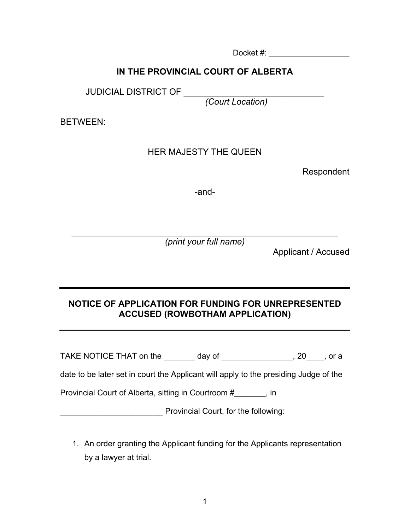Docket #:

## **IN THE PROVINCIAL COURT OF ALBERTA**

JUDICIAL DISTRICT OF \_\_\_\_\_\_\_\_\_\_\_\_\_\_\_\_\_\_\_\_\_\_\_\_\_\_\_\_\_\_\_

*(Court Location)*

BETWEEN:

## HER MAJESTY THE QUEEN

Respondent

-and-

\_\_\_\_\_\_\_\_\_\_\_\_\_\_\_\_\_\_\_\_\_\_\_\_\_\_\_\_\_\_\_\_\_\_\_\_\_\_\_\_\_\_\_\_\_\_\_\_\_\_\_\_\_\_\_ *(print your full name)*

Applicant / Accused

## **NOTICE OF APPLICATION FOR FUNDING FOR UNREPRESENTED ACCUSED (ROWBOTHAM APPLICATION)**

TAKE NOTICE THAT on the \_\_\_\_\_\_\_ day of \_\_\_\_\_\_\_\_\_\_\_\_\_\_\_\_, 20\_\_\_\_, or a

date to be later set in court the Applicant will apply to the presiding Judge of the

Provincial Court of Alberta, sitting in Courtroom #\_\_\_\_\_\_\_, in

error Provincial Court, for the following:

1. An order granting the Applicant funding for the Applicants representation by a lawyer at trial.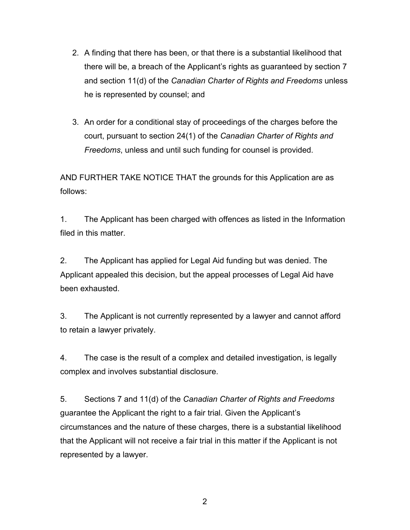- 2. A finding that there has been, or that there is a substantial likelihood that there will be, a breach of the Applicant's rights as guaranteed by section 7 and section 11(d) of the *Canadian Charter of Rights and Freedoms* unless he is represented by counsel; and
- 3. An order for a conditional stay of proceedings of the charges before the court, pursuant to section 24(1) of the *Canadian Charter of Rights and Freedoms*, unless and until such funding for counsel is provided.

AND FURTHER TAKE NOTICE THAT the grounds for this Application are as follows:

1. The Applicant has been charged with offences as listed in the Information filed in this matter.

2. The Applicant has applied for Legal Aid funding but was denied. The Applicant appealed this decision, but the appeal processes of Legal Aid have been exhausted.

3. The Applicant is not currently represented by a lawyer and cannot afford to retain a lawyer privately.

4. The case is the result of a complex and detailed investigation, is legally complex and involves substantial disclosure.

5. Sections 7 and 11(d) of the *Canadian Charter of Rights and Freedoms*  guarantee the Applicant the right to a fair trial. Given the Applicant's circumstances and the nature of these charges, there is a substantial likelihood that the Applicant will not receive a fair trial in this matter if the Applicant is not represented by a lawyer.

2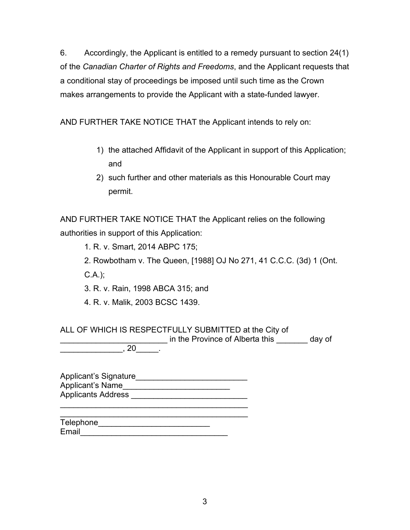6. Accordingly, the Applicant is entitled to a remedy pursuant to section 24(1) of the *Canadian Charter of Rights and Freedoms*, and the Applicant requests that a conditional stay of proceedings be imposed until such time as the Crown makes arrangements to provide the Applicant with a state-funded lawyer.

AND FURTHER TAKE NOTICE THAT the Applicant intends to rely on:

- 1) the attached Affidavit of the Applicant in support of this Application; and
- 2) such further and other materials as this Honourable Court may permit.

AND FURTHER TAKE NOTICE THAT the Applicant relies on the following authorities in support of this Application:

1. R. v. Smart, 2014 ABPC 175;

2. Rowbotham v. The Queen, [1988] OJ No 271, 41 C.C.C. (3d) 1 (Ont.

C.A.);

3. R. v. Rain, 1998 ABCA 315; and

4. R. v. Malik, 2003 BCSC 1439.

ALL OF WHICH IS RESPECTFULLY SUBMITTED at the City of \_\_\_\_\_\_\_\_\_\_\_\_\_\_\_\_\_\_\_\_\_\_\_\_ in the Province of Alberta this \_\_\_\_\_\_\_ day of  $\sim$  . 20  $\sim$  .

Applicant's Signature\_\_\_\_\_\_\_\_\_\_\_\_\_\_\_\_\_\_\_\_\_\_\_\_\_ Applicant's Name Applicants Address \_\_\_\_\_\_\_\_\_\_\_\_\_\_\_\_\_\_\_\_\_\_\_\_\_\_

\_\_\_\_\_\_\_\_\_\_\_\_\_\_\_\_\_\_\_\_\_\_\_\_\_\_\_\_\_\_\_\_\_\_\_\_\_\_\_\_\_\_

| Telephone |  |
|-----------|--|
| Email     |  |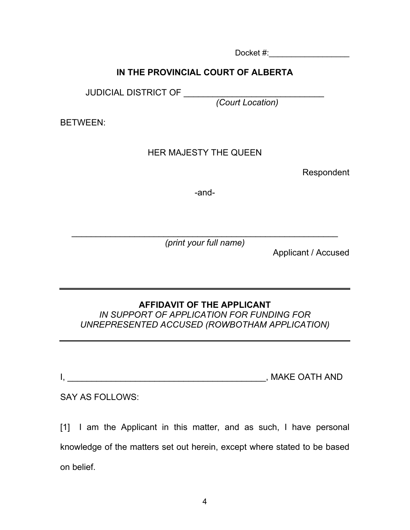Docket #:

# **IN THE PROVINCIAL COURT OF ALBERTA**

JUDICIAL DISTRICT OF \_\_\_\_\_\_\_

*(Court Location)*

BETWEEN:

#### HER MAJESTY THE QUEEN

Respondent

-and-

\_\_\_\_\_\_\_\_\_\_\_\_\_\_\_\_\_\_\_\_\_\_\_\_\_\_\_\_\_\_\_\_\_\_\_\_\_\_\_\_\_\_\_\_\_\_\_\_\_\_\_\_\_\_\_ *(print your full name)*

Applicant / Accused

#### **AFFIDAVIT OF THE APPLICANT** *IN SUPPORT OF APPLICATION FOR FUNDING FOR*

*UNREPRESENTED ACCUSED (ROWBOTHAM APPLICATION)*

| . . | <b>MAKE OATH AND</b> |
|-----|----------------------|
|     |                      |

## SAY AS FOLLOWS:

[1] I am the Applicant in this matter, and as such, I have personal knowledge of the matters set out herein, except where stated to be based on belief.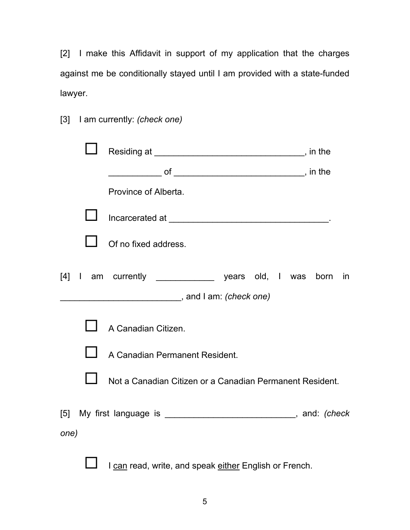[2] I make this Affidavit in support of my application that the charges against me be conditionally stayed until I am provided with a state-funded lawyer.

|  |  | [3] I am currently: (check one) |  |  |
|--|--|---------------------------------|--|--|
|--|--|---------------------------------|--|--|

|      | Province of Alberta.                                                   |    |
|------|------------------------------------------------------------------------|----|
|      |                                                                        |    |
|      | Of no fixed address.                                                   |    |
|      | [4] I am currently _______________ years old, I was born               | in |
|      | and I am: <i>(check one)</i> , and I am: <i>(check one)</i>            |    |
|      | A Canadian Citizen.                                                    |    |
|      | A Canadian Permanent Resident.                                         |    |
|      | Not a Canadian Citizen or a Canadian Permanent Resident.               |    |
| one) | [5] My first language is ________________________________, and: (check |    |

I can read, write, and speak either English or French.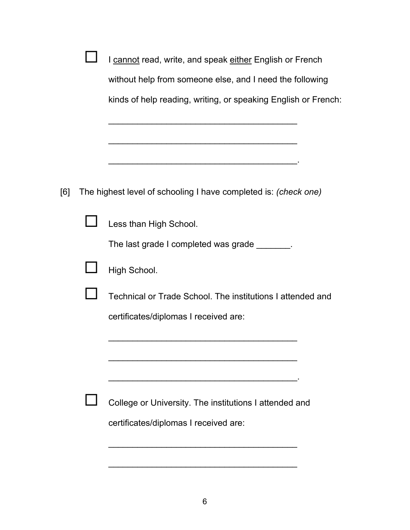|     | I cannot read, write, and speak either English or French        |
|-----|-----------------------------------------------------------------|
|     | without help from someone else, and I need the following        |
|     | kinds of help reading, writing, or speaking English or French:  |
|     |                                                                 |
|     | <u> 1965 - Johann John Stoff, market francuski filozof (</u>    |
|     |                                                                 |
|     |                                                                 |
| [6] | The highest level of schooling I have completed is: (check one) |
|     | Less than High School.                                          |
|     | The last grade I completed was grade _______.                   |
|     | High School.                                                    |
|     | Technical or Trade School. The institutions I attended and      |
|     | certificates/diplomas I received are:                           |
|     |                                                                 |
|     |                                                                 |
|     |                                                                 |
|     | College or University. The institutions I attended and          |
|     | certificates/diplomas I received are:                           |
|     |                                                                 |

\_\_\_\_\_\_\_\_\_\_\_\_\_\_\_\_\_\_\_\_\_\_\_\_\_\_\_\_\_\_\_\_\_\_\_\_\_\_\_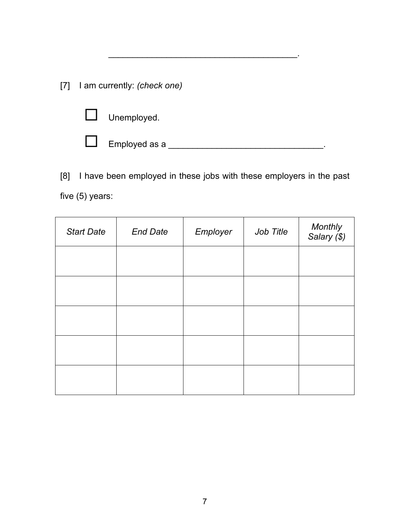[7] I am currently: *(check one)*



Employed as a \_\_\_\_\_\_\_\_\_\_\_\_\_\_\_\_\_\_\_\_\_\_\_\_\_\_\_\_\_\_\_\_.

[8] I have been employed in these jobs with these employers in the past five (5) years:

\_\_\_\_\_\_\_\_\_\_\_\_\_\_\_\_\_\_\_\_\_\_\_\_\_\_\_\_\_\_\_\_\_\_\_\_\_\_\_.

| <b>Start Date</b> | <b>End Date</b> | Employer | Job Title | Monthly<br>Salary (\$) |
|-------------------|-----------------|----------|-----------|------------------------|
|                   |                 |          |           |                        |
|                   |                 |          |           |                        |
|                   |                 |          |           |                        |
|                   |                 |          |           |                        |
|                   |                 |          |           |                        |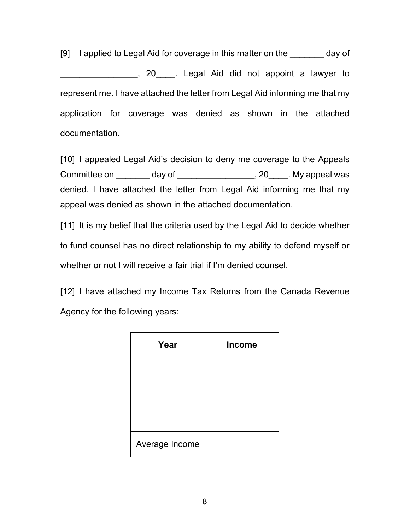[9] I applied to Legal Aid for coverage in this matter on the day of \_\_\_\_\_\_\_\_\_\_\_\_\_\_\_\_, 20\_\_\_\_. Legal Aid did not appoint a lawyer to represent me. I have attached the letter from Legal Aid informing me that my application for coverage was denied as shown in the attached documentation.

[10] I appealed Legal Aid's decision to deny me coverage to the Appeals Committee on day of the same committee on the day of the set of the set of the set of the set of the set of the set of the set of the set of the set of the set of the set of the set of the set of the set of the set of the denied. I have attached the letter from Legal Aid informing me that my appeal was denied as shown in the attached documentation.

[11] It is my belief that the criteria used by the Legal Aid to decide whether to fund counsel has no direct relationship to my ability to defend myself or whether or not I will receive a fair trial if I'm denied counsel.

[12] I have attached my Income Tax Returns from the Canada Revenue Agency for the following years:

| Year           | <b>Income</b> |
|----------------|---------------|
|                |               |
|                |               |
|                |               |
| Average Income |               |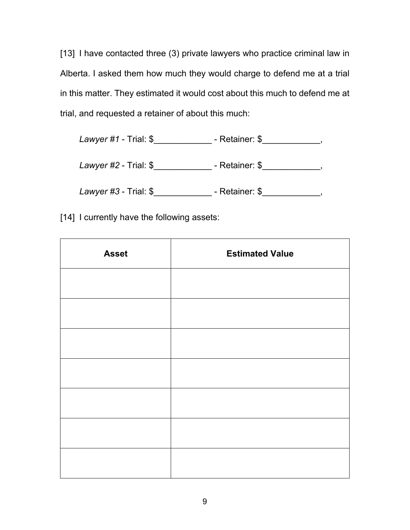[13] I have contacted three (3) private lawyers who practice criminal law in Alberta. I asked them how much they would charge to defend me at a trial in this matter. They estimated it would cost about this much to defend me at trial, and requested a retainer of about this much:

| Lawyer $#1$ - Trial: $$$ | - Retainer: \$ |
|--------------------------|----------------|
| Lawyer $#2$ - Trial: $$$ | - Retainer: \$ |

*Lawyer #3* - Trial: \$\_\_\_\_\_\_\_\_\_\_\_\_ - Retainer: \$\_\_\_\_\_\_\_\_\_\_\_\_,

[14] I currently have the following assets:

| <b>Asset</b> | <b>Estimated Value</b> |
|--------------|------------------------|
|              |                        |
|              |                        |
|              |                        |
|              |                        |
|              |                        |
|              |                        |
|              |                        |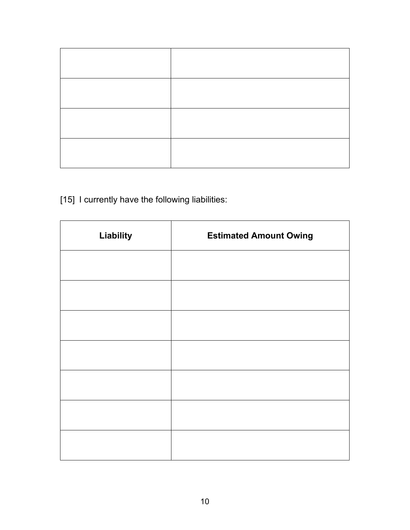[15] I currently have the following liabilities:

| Liability | <b>Estimated Amount Owing</b> |
|-----------|-------------------------------|
|           |                               |
|           |                               |
|           |                               |
|           |                               |
|           |                               |
|           |                               |
|           |                               |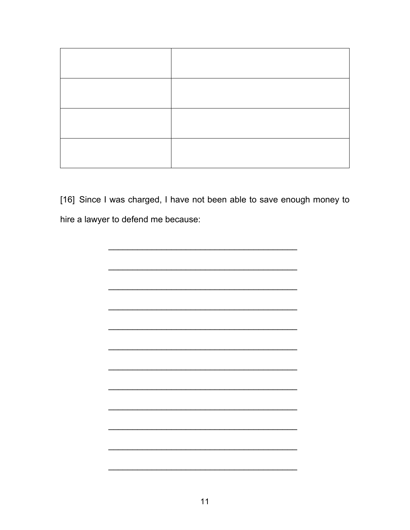[16] Since I was charged, I have not been able to save enough money to hire a lawyer to defend me because:

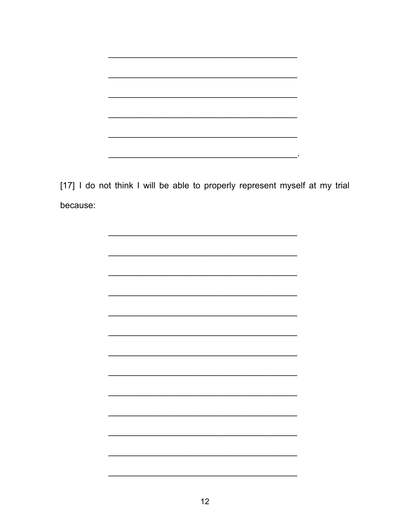

[17] I do not think I will be able to properly represent myself at my trial because: